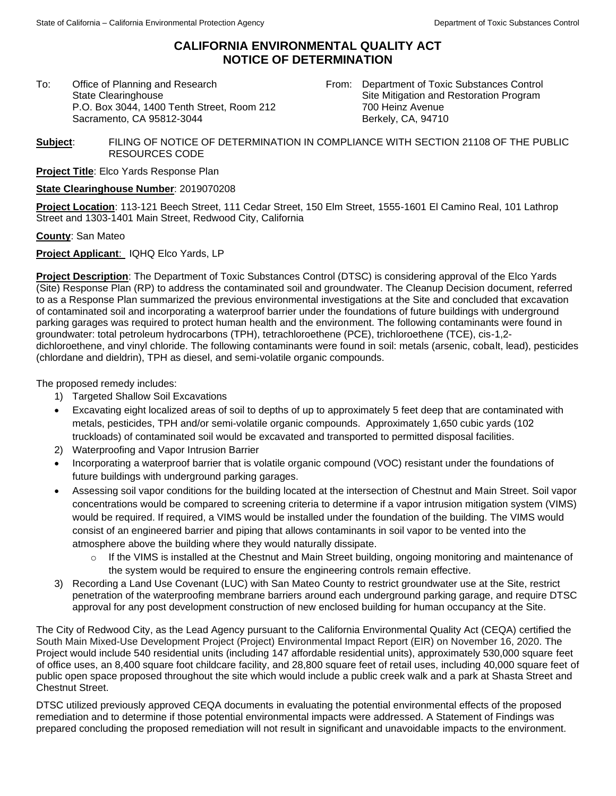## **CALIFORNIA ENVIRONMENTAL QUALITY ACT NOTICE OF DETERMINATION**

To: Office of Planning and Research State Clearinghouse P.O. Box 3044, 1400 Tenth Street, Room 212 Sacramento, CA 95812-3044

From: Department of Toxic Substances Control Site Mitigation and Restoration Program 700 Heinz Avenue Berkely, CA, 94710

## **Subject**: FILING OF NOTICE OF DETERMINATION IN COMPLIANCE WITH SECTION 21108 OF THE PUBLIC RESOURCES CODE

**Project Title**: Elco Yards Response Plan

## **State Clearinghouse Number**: 2019070208

**Project Location**: 113-121 Beech Street, 111 Cedar Street, 150 Elm Street, 1555-1601 El Camino Real, 101 Lathrop Street and 1303-1401 Main Street, Redwood City, California

**County**: San Mateo

**Project Applicant**: IQHQ Elco Yards, LP

**Project Description**: The Department of Toxic Substances Control (DTSC) is considering approval of the Elco Yards (Site) Response Plan (RP) to address the contaminated soil and groundwater. The Cleanup Decision document, referred to as a Response Plan summarized the previous environmental investigations at the Site and concluded that excavation of contaminated soil and incorporating a waterproof barrier under the foundations of future buildings with underground parking garages was required to protect human health and the environment. The following contaminants were found in groundwater: total petroleum hydrocarbons (TPH), tetrachloroethene (PCE), trichloroethene (TCE), cis-1,2 dichloroethene, and vinyl chloride. The following contaminants were found in soil: metals (arsenic, cobalt, lead), pesticides (chlordane and dieldrin), TPH as diesel, and semi-volatile organic compounds.

The proposed remedy includes:

- 1) Targeted Shallow Soil Excavations
- Excavating eight localized areas of soil to depths of up to approximately 5 feet deep that are contaminated with metals, pesticides, TPH and/or semi-volatile organic compounds. Approximately 1,650 cubic yards (102 truckloads) of contaminated soil would be excavated and transported to permitted disposal facilities.
- 2) Waterproofing and Vapor Intrusion Barrier
- Incorporating a waterproof barrier that is volatile organic compound (VOC) resistant under the foundations of future buildings with underground parking garages.
- Assessing soil vapor conditions for the building located at the intersection of Chestnut and Main Street. Soil vapor concentrations would be compared to screening criteria to determine if a vapor intrusion mitigation system (VIMS) would be required. If required, a VIMS would be installed under the foundation of the building. The VIMS would consist of an engineered barrier and piping that allows contaminants in soil vapor to be vented into the atmosphere above the building where they would naturally dissipate.
	- $\circ$  If the VIMS is installed at the Chestnut and Main Street building, ongoing monitoring and maintenance of the system would be required to ensure the engineering controls remain effective.
- 3) Recording a Land Use Covenant (LUC) with San Mateo County to restrict groundwater use at the Site, restrict penetration of the waterproofing membrane barriers around each underground parking garage, and require DTSC approval for any post development construction of new enclosed building for human occupancy at the Site.

The City of Redwood City, as the Lead Agency pursuant to the California Environmental Quality Act (CEQA) certified the South Main Mixed-Use Development Project (Project) Environmental Impact Report (EIR) on November 16, 2020. The Project would include 540 residential units (including 147 affordable residential units), approximately 530,000 square feet of office uses, an 8,400 square foot childcare facility, and 28,800 square feet of retail uses, including 40,000 square feet of public open space proposed throughout the site which would include a public creek walk and a park at Shasta Street and Chestnut Street.

DTSC utilized previously approved CEQA documents in evaluating the potential environmental effects of the proposed remediation and to determine if those potential environmental impacts were addressed. A Statement of Findings was prepared concluding the proposed remediation will not result in significant and unavoidable impacts to the environment.